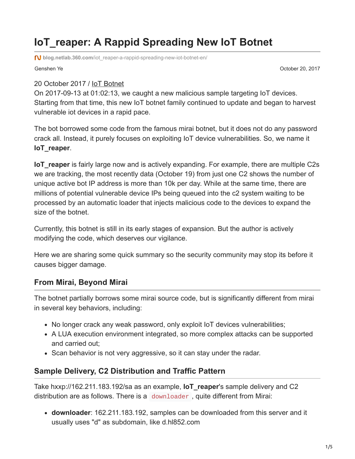# **IoT\_reaper: A Rappid Spreading New IoT Botnet**

**blog.netlab.360.com**[/iot\\_reaper-a-rappid-spreading-new-iot-botnet-en/](http://blog.netlab.360.com/iot_reaper-a-rappid-spreading-new-iot-botnet-en/)

Genshen Ye October 20, 2017

#### 20 October 2017 / [IoT Botnet](http://blog.netlab.360.com/tag/iot-botnet/)

On 2017-09-13 at 01:02:13, we caught a new malicious sample targeting IoT devices. Starting from that time, this new IoT botnet family continued to update and began to harvest vulnerable iot devices in a rapid pace.

The bot borrowed some code from the famous mirai botnet, but it does not do any password crack all. Instead, it purely focuses on exploiting IoT device vulnerabilities. So, we name it **IoT\_reaper**.

**IoT** reaper is fairly large now and is actively expanding. For example, there are multiple C2s we are tracking, the most recently data (October 19) from just one C2 shows the number of unique active bot IP address is more than 10k per day. While at the same time, there are millions of potential vulnerable device IPs being queued into the c2 system waiting to be processed by an automatic loader that injects malicious code to the devices to expand the size of the botnet.

Currently, this botnet is still in its early stages of expansion. But the author is actively modifying the code, which deserves our vigilance.

Here we are sharing some quick summary so the security community may stop its before it causes bigger damage.

#### **From Mirai, Beyond Mirai**

The botnet partially borrows some mirai source code, but is significantly different from mirai in several key behaviors, including:

- No longer crack any weak password, only exploit IoT devices vulnerabilities;
- A LUA execution environment integrated, so more complex attacks can be supported and carried out;
- Scan behavior is not very aggressive, so it can stay under the radar.

### **Sample Delivery, C2 Distribution and Traffic Pattern**

Take hxxp://162.211.183.192/sa as an example, **IoT\_reaper**'s sample delivery and C2 distribution are as follows. There is a downloader , quite different from Mirai:

**downloader**: 162.211.183.192, samples can be downloaded from this server and it usually uses "d" as subdomain, like d.hl852.com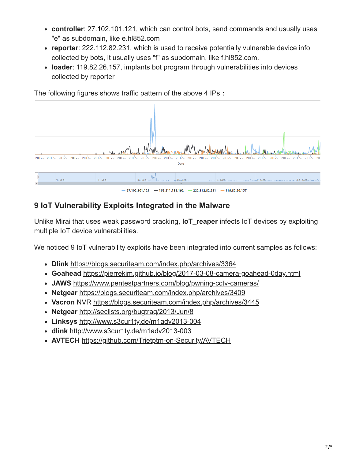- **controller**: 27.102.101.121, which can control bots, send commands and usually uses "e" as subdomain, like e.hl852.com
- **reporter**: 222.112.82.231, which is used to receive potentially vulnerable device info collected by bots, it usually uses "f" as subdomain, like f.hl852.com.
- **loader**: 119.82.26.157, implants bot program through vulnerabilities into devices collected by reporter

The following figures shows traffic pattern of the above 4 IPs:



# **9 IoT Vulnerability Exploits Integrated in the Malware**

Unlike Mirai that uses weak password cracking, **IoT\_reaper** infects IoT devices by exploiting multiple IoT device vulnerabilities.

We noticed 9 IoT vulnerability exploits have been integrated into current samples as follows:

- **Dlink** <https://blogs.securiteam.com/index.php/archives/3364>
- **Goahead** <https://pierrekim.github.io/blog/2017-03-08-camera-goahead-0day.html>
- **JAWS** <https://www.pentestpartners.com/blog/pwning-cctv-cameras/>
- **Netgear** <https://blogs.securiteam.com/index.php/archives/3409>
- **Vacron** NVR <https://blogs.securiteam.com/index.php/archives/3445>
- **Netgear** <http://seclists.org/bugtraq/2013/Jun/8>
- **Linksys** <http://www.s3cur1ty.de/m1adv2013-004>
- **dlink** <http://www.s3cur1ty.de/m1adv2013-003>
- **AVTECH** <https://github.com/Trietptm-on-Security/AVTECH>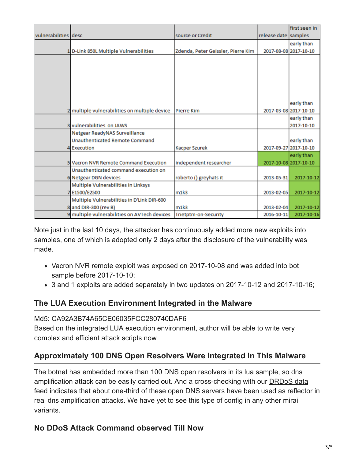|                      |                                               |                                    |                      | first seen in         |
|----------------------|-----------------------------------------------|------------------------------------|----------------------|-----------------------|
| vulnerabilities desc |                                               | source or Credit                   | release date samples |                       |
|                      |                                               |                                    |                      | early than            |
|                      | D-Link 850L Multiple Vulnerabilities          | Zdenda, Peter Geissler, Pierre Kim |                      | 2017-08-08 2017-10-10 |
|                      |                                               |                                    |                      |                       |
|                      |                                               |                                    |                      |                       |
|                      |                                               |                                    |                      |                       |
|                      |                                               |                                    |                      |                       |
|                      |                                               |                                    |                      |                       |
|                      |                                               |                                    |                      |                       |
|                      |                                               |                                    |                      | early than            |
|                      | 2 multiple vulnerabilities on multiple device | <b>Pierre Kim</b>                  |                      | 2017-03-08 2017-10-10 |
|                      |                                               |                                    |                      | early than            |
|                      | 3 vulnerabilities on JAWS                     |                                    |                      | 2017-10-10            |
|                      | Netgear ReadyNAS Surveillance                 |                                    |                      |                       |
|                      | <b>Unauthenticated Remote Command</b>         |                                    |                      | early than            |
|                      | <b>Execution</b>                              | <b>Kacper Szurek</b>               |                      | 2017-09-27 2017-10-10 |
|                      |                                               |                                    |                      | early than            |
|                      | 5 Vacron NVR Remote Command Execution         | independent researcher             |                      | 2017-10-08 2017-10-10 |
|                      | Unauthenticated command execution on          |                                    |                      |                       |
|                      | 6 Netgear DGN devices                         | roberto () greyhats it             | 2013-05-31           | 2017-10-12            |
|                      | Multiple Vulnerabilities in Linksys           |                                    |                      |                       |
|                      | E1500/E2500                                   | m1k3                               | 2013-02-05           | 2017-10-12            |
|                      | Multiple Vulnerabilities in D'Link DIR-600    |                                    |                      |                       |
|                      | 8 and DIR-300 (rev B)                         | m1k3                               | 2013-02-04           | 2017-10-12            |
|                      | 9 multiple vulnerabilities on AVTech devices  | Trietptm-on-Security               | 2016-10-11           | 2017-10-16            |

Note just in the last 10 days, the attacker has continuously added more new exploits into samples, one of which is adopted only 2 days after the disclosure of the vulnerability was made.

- Vacron NVR remote exploit was exposed on 2017-10-08 and was added into bot sample before 2017-10-10;
- 3 and 1 exploits are added separately in two updates on 2017-10-12 and 2017-10-16;

### **The LUA Execution Environment Integrated in the Malware**

#### Md5: CA92A3B74A65CE06035FCC280740DAF6

Based on the integrated LUA execution environment, author will be able to write very complex and efficient attack scripts now

# **Approximately 100 DNS Open Resolvers Were Integrated in This Malware**

The botnet has embedded more than 100 DNS open resolvers in its lua sample, so dns amplification attack can be easily carried out. And a cross-checking with our **DRDoS** data feed indicates that about one-third of these open DNS servers have been used as reflector in real dns amplification attacks. We have yet to see this type of config in any other mirai variants.

# **No DDoS Attack Command observed Till Now**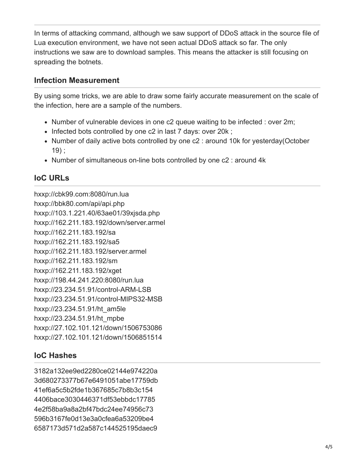In terms of attacking command, although we saw support of DDoS attack in the source file of Lua execution environment, we have not seen actual DDoS attack so far. The only instructions we saw are to download samples. This means the attacker is still focusing on spreading the botnets.

### **Infection Measurement**

By using some tricks, we are able to draw some fairly accurate measurement on the scale of the infection, here are a sample of the numbers.

- Number of vulnerable devices in one c2 queue waiting to be infected : over 2m;
- Infected bots controlled by one c2 in last 7 days: over 20k;
- Number of daily active bots controlled by one c2 : around 10k for yesterday(October 19) ;
- Number of simultaneous on-line bots controlled by one c2 : around 4k

# **IoC URLs**

hxxp://cbk99.com:8080/run.lua hxxp://bbk80.com/api/api.php hxxp://103.1.221.40/63ae01/39xjsda.php hxxp://162.211.183.192/down/server.armel hxxp://162.211.183.192/sa hxxp://162.211.183.192/sa5 hxxp://162.211.183.192/server.armel hxxp://162.211.183.192/sm hxxp://162.211.183.192/xget hxxp://198.44.241.220:8080/run.lua hxxp://23.234.51.91/control-ARM-LSB hxxp://23.234.51.91/control-MIPS32-MSB hxxp://23.234.51.91/ht\_am5le hxxp://23.234.51.91/ht\_mpbe hxxp://27.102.101.121/down/1506753086 hxxp://27.102.101.121/down/1506851514

# **IoC Hashes**

3182a132ee9ed2280ce02144e974220a 3d680273377b67e6491051abe17759db 41ef6a5c5b2fde1b367685c7b8b3c154 4406bace3030446371df53ebbdc17785 4e2f58ba9a8a2bf47bdc24ee74956c73 596b3167fe0d13e3a0cfea6a53209be4 6587173d571d2a587c144525195daec9